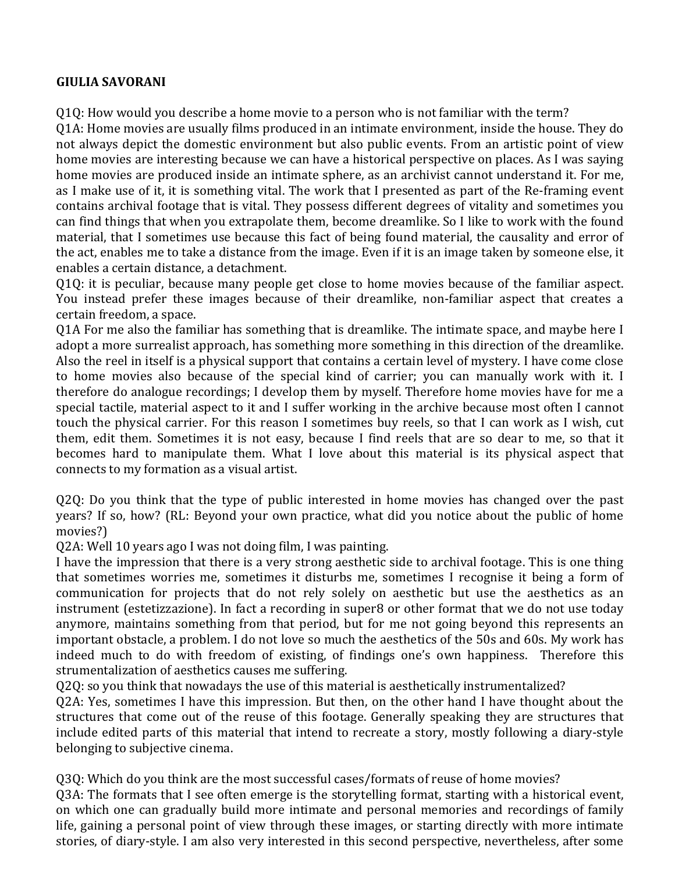## **GIULIA SAVORANI**

Q1Q: How would you describe a home movie to a person who is not familiar with the term?

Q1A: Home movies are usually films produced in an intimate environment, inside the house. They do not always depict the domestic environment but also public events. From an artistic point of view home movies are interesting because we can have a historical perspective on places. As I was saying home movies are produced inside an intimate sphere, as an archivist cannot understand it. For me, as I make use of it, it is something vital. The work that I presented as part of the Re-framing event contains archival footage that is vital. They possess different degrees of vitality and sometimes you can find things that when you extrapolate them, become dreamlike. So I like to work with the found material, that I sometimes use because this fact of being found material, the causality and error of the act, enables me to take a distance from the image. Even if it is an image taken by someone else, it enables a certain distance, a detachment.

Q1Q: it is peculiar, because many people get close to home movies because of the familiar aspect. You instead prefer these images because of their dreamlike, non-familiar aspect that creates a certain freedom, a space.

Q1A For me also the familiar has something that is dreamlike. The intimate space, and maybe here I adopt a more surrealist approach, has something more something in this direction of the dreamlike. Also the reel in itself is a physical support that contains a certain level of mystery. I have come close to home movies also because of the special kind of carrier; you can manually work with it. I therefore do analogue recordings; I develop them by myself. Therefore home movies have for me a special tactile, material aspect to it and I suffer working in the archive because most often I cannot touch the physical carrier. For this reason I sometimes buy reels, so that I can work as I wish, cut them, edit them. Sometimes it is not easy, because I find reels that are so dear to me, so that it becomes hard to manipulate them. What I love about this material is its physical aspect that connects to my formation as a visual artist.

Q2Q: Do you think that the type of public interested in home movies has changed over the past years? If so, how? (RL: Beyond your own practice, what did you notice about the public of home movies?)

Q2A: Well 10 years ago I was not doing film, I was painting.

I have the impression that there is a very strong aesthetic side to archival footage. This is one thing that sometimes worries me, sometimes it disturbs me, sometimes I recognise it being a form of communication for projects that do not rely solely on aesthetic but use the aesthetics as an instrument (estetizzazione). In fact a recording in super8 or other format that we do not use today anymore, maintains something from that period, but for me not going beyond this represents an important obstacle, a problem. I do not love so much the aesthetics of the 50s and 60s. My work has indeed much to do with freedom of existing, of findings one's own happiness. Therefore this strumentalization of aesthetics causes me suffering.

Q2Q: so you think that nowadays the use of this material is aesthetically instrumentalized?

Q2A: Yes, sometimes I have this impression. But then, on the other hand I have thought about the structures that come out of the reuse of this footage. Generally speaking they are structures that include edited parts of this material that intend to recreate a story, mostly following a diary-style belonging to subjective cinema.

Q3Q: Which do you think are the most successful cases/formats of reuse of home movies? 03A: The formats that I see often emerge is the storytelling format, starting with a historical event, on which one can gradually build more intimate and personal memories and recordings of family life, gaining a personal point of view through these images, or starting directly with more intimate stories, of diary-style. I am also very interested in this second perspective, nevertheless, after some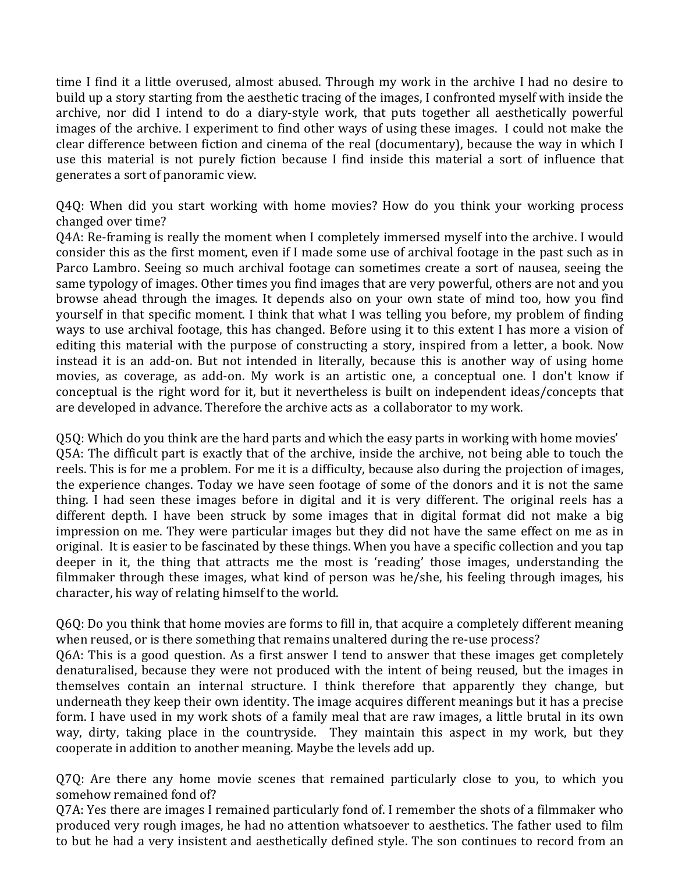time I find it a little overused, almost abused. Through my work in the archive I had no desire to build up a story starting from the aesthetic tracing of the images, I confronted myself with inside the archive, nor did I intend to do a diary-style work, that puts together all aesthetically powerful images of the archive. I experiment to find other ways of using these images. I could not make the clear difference between fiction and cinema of the real (documentary), because the way in which I use this material is not purely fiction because I find inside this material a sort of influence that generates a sort of panoramic view.

Q4Q: When did you start working with home movies? How do you think your working process changed over time?

Q4A: Re-framing is really the moment when I completely immersed myself into the archive. I would consider this as the first moment, even if I made some use of archival footage in the past such as in Parco Lambro. Seeing so much archival footage can sometimes create a sort of nausea, seeing the same typology of images. Other times you find images that are very powerful, others are not and you browse ahead through the images. It depends also on your own state of mind too, how you find yourself in that specific moment. I think that what I was telling you before, my problem of finding ways to use archival footage, this has changed. Before using it to this extent I has more a vision of editing this material with the purpose of constructing a story, inspired from a letter, a book. Now instead it is an add-on. But not intended in literally, because this is another way of using home movies, as coverage, as add-on. My work is an artistic one, a conceptual one. I don't know if conceptual is the right word for it, but it nevertheless is built on independent ideas/concepts that are developed in advance. Therefore the archive acts as a collaborator to my work.

Q5Q: Which do you think are the hard parts and which the easy parts in working with home movies' Q5A: The difficult part is exactly that of the archive, inside the archive, not being able to touch the reels. This is for me a problem. For me it is a difficulty, because also during the projection of images, the experience changes. Today we have seen footage of some of the donors and it is not the same thing. I had seen these images before in digital and it is very different. The original reels has a different depth. I have been struck by some images that in digital format did not make a big impression on me. They were particular images but they did not have the same effect on me as in original. It is easier to be fascinated by these things. When you have a specific collection and you tap deeper in it, the thing that attracts me the most is 'reading' those images, understanding the filmmaker through these images, what kind of person was he/she, his feeling through images, his character, his way of relating himself to the world.

Q6Q: Do you think that home movies are forms to fill in, that acquire a completely different meaning when reused, or is there something that remains unaltered during the re-use process?

Q6A: This is a good question. As a first answer I tend to answer that these images get completely denaturalised, because they were not produced with the intent of being reused, but the images in themselves contain an internal structure. I think therefore that apparently they change, but underneath they keep their own identity. The image acquires different meanings but it has a precise form. I have used in my work shots of a family meal that are raw images, a little brutal in its own way, dirty, taking place in the countryside. They maintain this aspect in my work, but they cooperate in addition to another meaning. Maybe the levels add up.

Q7Q: Are there any home movie scenes that remained particularly close to you, to which you somehow remained fond of?

Q7A: Yes there are images I remained particularly fond of. I remember the shots of a filmmaker who produced very rough images, he had no attention whatsoever to aesthetics. The father used to film to but he had a very insistent and aesthetically defined style. The son continues to record from an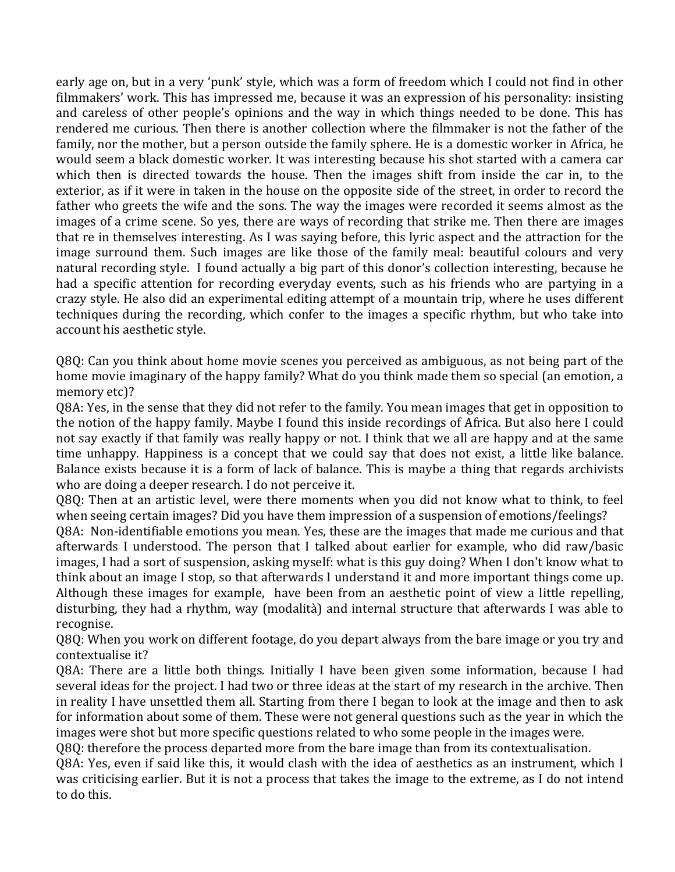early age on, but in a very 'punk' style, which was a form of freedom which I could not find in other filmmakers' work. This has impressed me, because it was an expression of his personality: insisting and careless of other people's opinions and the way in which things needed to be done. This has rendered me curious. Then there is another collection where the filmmaker is not the father of the family, nor the mother, but a person outside the family sphere. He is a domestic worker in Africa, he would seem a black domestic worker. It was interesting because his shot started with a camera car which then is directed towards the house. Then the images shift from inside the car in, to the exterior, as if it were in taken in the house on the opposite side of the street, in order to record the father who greets the wife and the sons. The way the images were recorded it seems almost as the images of a crime scene. So yes, there are ways of recording that strike me. Then there are images that re in themselves interesting. As I was saying before, this lyric aspect and the attraction for the image surround them. Such images are like those of the family meal: beautiful colours and very natural recording style. I found actually a big part of this donor's collection interesting, because he had a specific attention for recording everyday events, such as his friends who are partying in a crazy style. He also did an experimental editing attempt of a mountain trip, where he uses different techniques during the recording, which confer to the images a specific rhythm, but who take into account his aesthetic style.

Q8Q: Can you think about home movie scenes you perceived as ambiguous, as not being part of the home movie imaginary of the happy family? What do you think made them so special (an emotion, a memory etc)?

Q8A: Yes, in the sense that they did not refer to the family. You mean images that get in opposition to the notion of the happy family. Maybe I found this inside recordings of Africa. But also here I could not say exactly if that family was really happy or not. I think that we all are happy and at the same time unhappy. Happiness is a concept that we could say that does not exist, a little like balance. Balance exists because it is a form of lack of balance. This is maybe a thing that regards archivists who are doing a deeper research. I do not perceive it.

Q8Q: Then at an artistic level, were there moments when you did not know what to think, to feel when seeing certain images? Did you have them impression of a suspension of emotions/feelings?

Q8A: Non-identifiable emotions you mean. Yes, these are the images that made me curious and that afterwards I understood. The person that I talked about earlier for example, who did raw/basic images, I had a sort of suspension, asking myself: what is this guy doing? When I don't know what to think about an image I stop, so that afterwards I understand it and more important things come up. Although these images for example, have been from an aesthetic point of view a little repelling, disturbing, they had a rhythm, way (modalità) and internal structure that afterwards I was able to recognise. 

Q8Q: When you work on different footage, do you depart always from the bare image or you try and contextualise it?

Q8A: There are a little both things. Initially I have been given some information, because I had several ideas for the project. I had two or three ideas at the start of my research in the archive. Then in reality I have unsettled them all. Starting from there I began to look at the image and then to ask for information about some of them. These were not general questions such as the year in which the images were shot but more specific questions related to who some people in the images were.

Q8Q: therefore the process departed more from the bare image than from its contextualisation.

Q8A: Yes, even if said like this, it would clash with the idea of aesthetics as an instrument, which I was criticising earlier. But it is not a process that takes the image to the extreme, as I do not intend to do this.